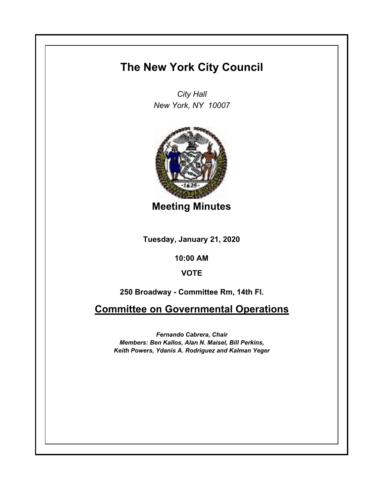## **The New York City Council**

*City Hall New York, NY 10007*



**Meeting Minutes**

**Tuesday, January 21, 2020**

**10:00 AM**

## **VOTE**

**250 Broadway - Committee Rm, 14th Fl.**

**Committee on Governmental Operations**

*Fernando Cabrera, Chair Members: Ben Kallos, Alan N. Maisel, Bill Perkins, Keith Powers, Ydanis A. Rodriguez and Kalman Yeger*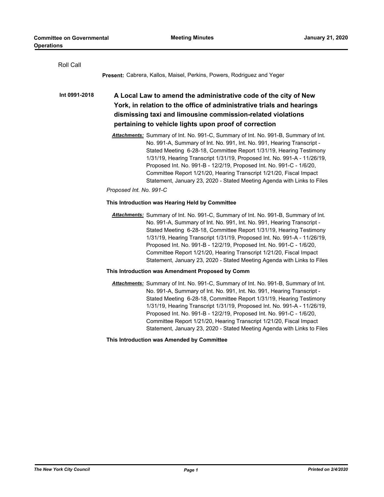| Roll Call     |                                                                                                                                                                                                                                                                                                                                                                                                                                                                                                                                           |  |
|---------------|-------------------------------------------------------------------------------------------------------------------------------------------------------------------------------------------------------------------------------------------------------------------------------------------------------------------------------------------------------------------------------------------------------------------------------------------------------------------------------------------------------------------------------------------|--|
|               | <b>Present:</b> Cabrera, Kallos, Maisel, Perkins, Powers, Rodriguez and Yeger                                                                                                                                                                                                                                                                                                                                                                                                                                                             |  |
| Int 0991-2018 | A Local Law to amend the administrative code of the city of New<br>York, in relation to the office of administrative trials and hearings<br>dismissing taxi and limousine commission-related violations<br>pertaining to vehicle lights upon proof of correction                                                                                                                                                                                                                                                                          |  |
|               | Attachments: Summary of Int. No. 991-C, Summary of Int. No. 991-B, Summary of Int.<br>No. 991-A, Summary of Int. No. 991, Int. No. 991, Hearing Transcript -<br>Stated Meeting 6-28-18, Committee Report 1/31/19, Hearing Testimony<br>1/31/19, Hearing Transcript 1/31/19, Proposed Int. No. 991-A - 11/26/19,<br>Proposed Int. No. 991-B - 12/2/19, Proposed Int. No. 991-C - 1/6/20,<br>Committee Report 1/21/20, Hearing Transcript 1/21/20, Fiscal Impact<br>Statement, January 23, 2020 - Stated Meeting Agenda with Links to Files |  |
|               | Proposed Int. No. 991-C                                                                                                                                                                                                                                                                                                                                                                                                                                                                                                                   |  |
|               | This Introduction was Hearing Held by Committee                                                                                                                                                                                                                                                                                                                                                                                                                                                                                           |  |
|               | Attachments: Summary of Int. No. 991-C, Summary of Int. No. 991-B, Summary of Int.<br>No. 991-A, Summary of Int. No. 991, Int. No. 991, Hearing Transcript -<br>Stated Meeting 6-28-18, Committee Report 1/31/19, Hearing Testimony<br>1/31/19, Hearing Transcript 1/31/19, Proposed Int. No. 991-A - 11/26/19,<br>Proposed Int. No. 991-B - 12/2/19, Proposed Int. No. 991-C - 1/6/20,<br>Committee Report 1/21/20, Hearing Transcript 1/21/20, Fiscal Impact<br>Statement, January 23, 2020 - Stated Meeting Agenda with Links to Files |  |
|               | This Introduction was Amendment Proposed by Comm                                                                                                                                                                                                                                                                                                                                                                                                                                                                                          |  |
|               | Attachments: Summary of Int. No. 991-C, Summary of Int. No. 991-B, Summary of Int.<br>No. 991-A, Summary of Int. No. 991, Int. No. 991, Hearing Transcript -<br>Stated Meeting 6-28-18, Committee Report 1/31/19, Hearing Testimony<br>1/31/19, Hearing Transcript 1/31/19, Proposed Int. No. 991-A - 11/26/19,<br>Proposed Int. No. 991-B - 12/2/19, Proposed Int. No. 991-C - 1/6/20,<br>Committee Report 1/21/20, Hearing Transcript 1/21/20, Fiscal Impact<br>Statement, January 23, 2020 - Stated Meeting Agenda with Links to Files |  |
|               | This Introduction was Amended by Committee                                                                                                                                                                                                                                                                                                                                                                                                                                                                                                |  |
|               |                                                                                                                                                                                                                                                                                                                                                                                                                                                                                                                                           |  |
|               |                                                                                                                                                                                                                                                                                                                                                                                                                                                                                                                                           |  |
|               |                                                                                                                                                                                                                                                                                                                                                                                                                                                                                                                                           |  |